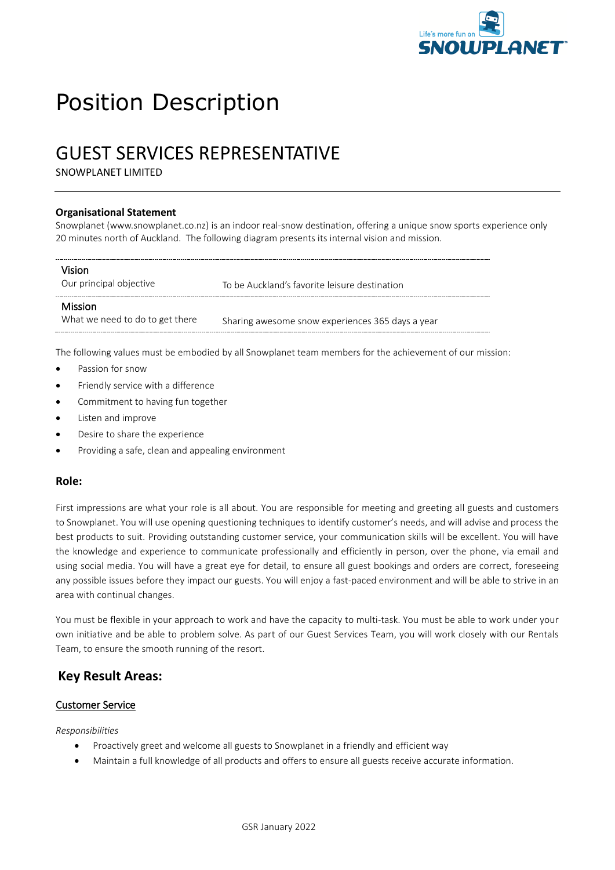

# Position Description

# GUEST SERVICES REPRESENTATIVE

SNOWPLANET LIMITED

#### **Organisational Statement**

Snowplanet (www.snowplanet.co.nz) is an indoor real-snow destination, offering a unique snow sports experience only 20 minutes north of Auckland. The following diagram presents its internal vision and mission.

| Vision<br>Our principal objective                 | To be Auckland's favorite leisure destination    |
|---------------------------------------------------|--------------------------------------------------|
| <b>Mission</b><br>What we need to do to get there | Sharing awesome snow experiences 365 days a year |

The following values must be embodied by all Snowplanet team members for the achievement of our mission:

- Passion for snow
- Friendly service with a difference
- Commitment to having fun together
- Listen and improve
- Desire to share the experience
- Providing a safe, clean and appealing environment

#### **Role:**

First impressions are what your role is all about. You are responsible for meeting and greeting all guests and customers to Snowplanet. You will use opening questioning techniques to identify customer's needs, and will advise and process the best products to suit. Providing outstanding customer service, your communication skills will be excellent. You will have the knowledge and experience to communicate professionally and efficiently in person, over the phone, via email and using social media. You will have a great eye for detail, to ensure all guest bookings and orders are correct, foreseeing any possible issues before they impact our guests. You will enjoy a fast-paced environment and will be able to strive in an area with continual changes.

You must be flexible in your approach to work and have the capacity to multi-task. You must be able to work under your own initiative and be able to problem solve. As part of our Guest Services Team, you will work closely with our Rentals Team, to ensure the smooth running of the resort.

### **Key Result Areas:**

#### Customer Service

#### *Responsibilities*

- Proactively greet and welcome all guests to Snowplanet in a friendly and efficient way
- Maintain a full knowledge of all products and offers to ensure all guests receive accurate information.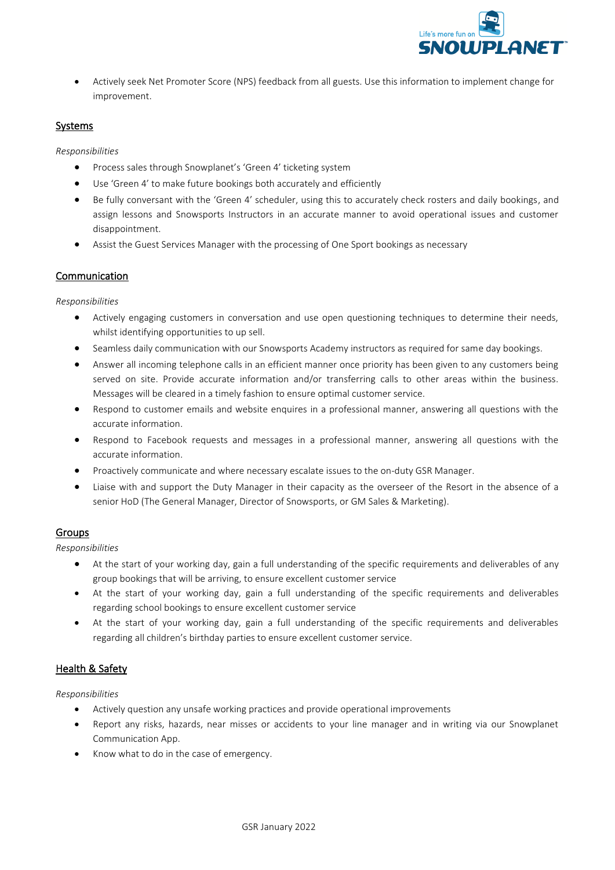

• Actively seek Net Promoter Score (NPS) feedback from all guests. Use this information to implement change for improvement.

#### Systems

*Responsibilities*

- Process sales through Snowplanet's 'Green 4' ticketing system
- Use 'Green 4' to make future bookings both accurately and efficiently
- Be fully conversant with the 'Green 4' scheduler, using this to accurately check rosters and daily bookings, and assign lessons and Snowsports Instructors in an accurate manner to avoid operational issues and customer disappointment.
- Assist the Guest Services Manager with the processing of One Sport bookings as necessary

#### Communication

*Responsibilities*

- Actively engaging customers in conversation and use open questioning techniques to determine their needs, whilst identifying opportunities to up sell.
- Seamless daily communication with our Snowsports Academy instructors as required for same day bookings.
- Answer all incoming telephone calls in an efficient manner once priority has been given to any customers being served on site. Provide accurate information and/or transferring calls to other areas within the business. Messages will be cleared in a timely fashion to ensure optimal customer service.
- Respond to customer emails and website enquires in a professional manner, answering all questions with the accurate information.
- Respond to Facebook requests and messages in a professional manner, answering all questions with the accurate information.
- Proactively communicate and where necessary escalate issues to the on-duty GSR Manager.
- Liaise with and support the Duty Manager in their capacity as the overseer of the Resort in the absence of a senior HoD (The General Manager, Director of Snowsports, or GM Sales & Marketing).

#### Groups

*Responsibilities*

- At the start of your working day, gain a full understanding of the specific requirements and deliverables of any group bookings that will be arriving, to ensure excellent customer service
- At the start of your working day, gain a full understanding of the specific requirements and deliverables regarding school bookings to ensure excellent customer service
- At the start of your working day, gain a full understanding of the specific requirements and deliverables regarding all children's birthday parties to ensure excellent customer service.

#### Health & Safety

*Responsibilities*

- Actively question any unsafe working practices and provide operational improvements
- Report any risks, hazards, near misses or accidents to your line manager and in writing via our Snowplanet Communication App.
- Know what to do in the case of emergency.